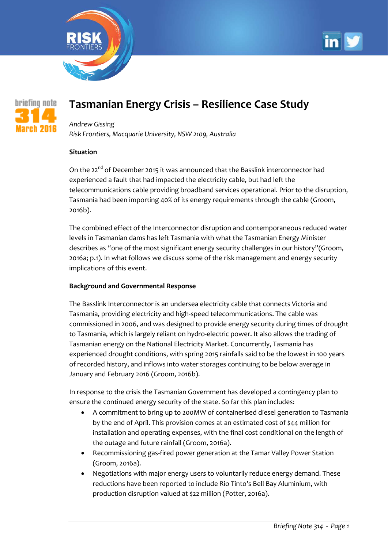





# **Tasmanian Energy Crisis – Resilience Case Study**

## *Andrew Gissing*

*Risk Frontiers, Macquarie University, NSW 2109, Australia*

### **Situation**

On the 22<sup>nd</sup> of December 2015 it was announced that the Basslink interconnector had experienced a fault that had impacted the electricity cable, but had left the telecommunications cable providing broadband services operational. Prior to the disruption, Tasmania had been importing 40% of its energy requirements through the cable [\(Groom,](#page-3-0)  [2016b\)](#page-3-0).

The combined effect of the Interconnector disruption and contemporaneous reduced water levels in Tasmanian dams has left Tasmania with what the Tasmanian Energy Minister describes as "one of the most significant energy security challenges in our history"[\(Groom,](#page-3-1)  [2016a; p.1\)](#page-3-1). In what follows we discuss some of the risk management and energy security implications of this event.

### **Background and Governmental Response**

The Basslink Interconnector is an undersea electricity cable that connects Victoria and Tasmania, providing electricity and high-speed telecommunications. The cable was commissioned in 2006, and was designed to provide energy security during times of drought to Tasmania, which is largely reliant on hydro-electric power. It also allows the trading of Tasmanian energy on the National Electricity Market. Concurrently, Tasmania has experienced drought conditions, with spring 2015 rainfalls said to be the lowest in 100 years of recorded history, and inflows into water storages continuing to be below average in January and February 2016 [\(Groom, 2016b\)](#page-3-0).

In response to the crisis the Tasmanian Government has developed a contingency plan to ensure the continued energy security of the state. So far this plan includes:

- A commitment to bring up to 200MW of containerised diesel generation to Tasmania by the end of April. This provision comes at an estimated cost of \$44 million for installation and operating expenses, with the final cost conditional on the length of the outage and future rainfall [\(Groom, 2016a\)](#page-3-1).
- Recommissioning gas-fired power generation at the Tamar Valley Power Station [\(Groom, 2016a\)](#page-3-1).
- Negotiations with major energy users to voluntarily reduce energy demand. These reductions have been reported to include Rio Tinto's Bell Bay Aluminium, with production disruption valued at \$22 million [\(Potter, 2016a\)](#page-3-2).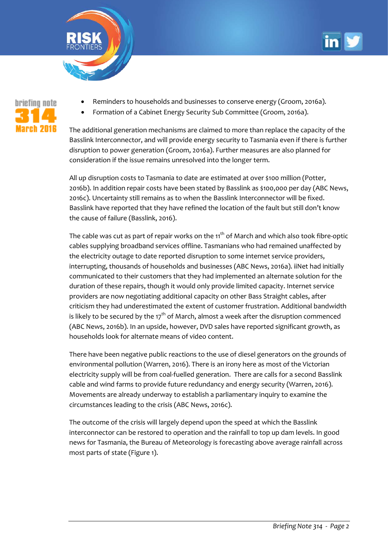



- Reminders to households and businesses to conserve energy [\(Groom, 2016a\)](#page-3-1).
- Formation of a Cabinet Energy Security Sub Committee [\(Groom, 2016a\)](#page-3-1).

The additional generation mechanisms are claimed to more than replace the capacity of the Basslink Interconnector, and will provide energy security to Tasmania even if there is further disruption to power generation [\(Groom, 2016a\)](#page-3-1). Further measures are also planned for consideration if the issue remains unresolved into the longer term.

All up disruption costs to Tasmania to date are estimated at over \$100 million [\(Potter,](#page-3-3)  [2016b\)](#page-3-3). In addition repair costs have been stated by Basslink as \$100,000 per day [\(ABC News,](#page-3-4)  [2016c\)](#page-3-4). Uncertainty still remains as to when the Basslink Interconnector will be fixed. Basslink have reported that they have refined the location of the fault but still don't know the cause of failure [\(Basslink, 2016\)](#page-3-5).

The cable was cut as part of repair works on the  $11<sup>th</sup>$  of March and which also took fibre-optic cables supplying broadband services offline. Tasmanians who had remained unaffected by the electricity outage to date reported disruption to some internet service providers, interrupting, thousands of households and businesses [\(ABC News, 2016a\)](#page-3-6). iiNet had initially communicated to their customers that they had implemented an alternate solution for the duration of these repairs, though it would only provide limited capacity. Internet service providers are now negotiating additional capacity on other Bass Straight cables, after criticism they had underestimated the extent of customer frustration. Additional bandwidth is likely to be secured by the  $17<sup>th</sup>$  of March, almost a week after the disruption commenced [\(ABC News, 2016b\)](#page-3-7). In an upside, however, DVD sales have reported significant growth, as households look for alternate means of video content.

There have been negative public reactions to the use of diesel generators on the grounds of environmental pollution [\(Warren, 2016\)](#page-3-8). There is an irony here as most of the Victorian electricity supply will be from coal-fuelled generation. There are calls for a second Basslink cable and wind farms to provide future redundancy and energy security [\(Warren, 2016\)](#page-3-8). Movements are already underway to establish a parliamentary inquiry to examine the circumstances leading to the crisis [\(ABC News, 2016c\)](#page-3-4).

The outcome of the crisis will largely depend upon the speed at which the Basslink interconnector can be restored to operation and the rainfall to top up dam levels. In good news for Tasmania, the Bureau of Meteorology is forecasting above average rainfall across most parts of state (Figure 1).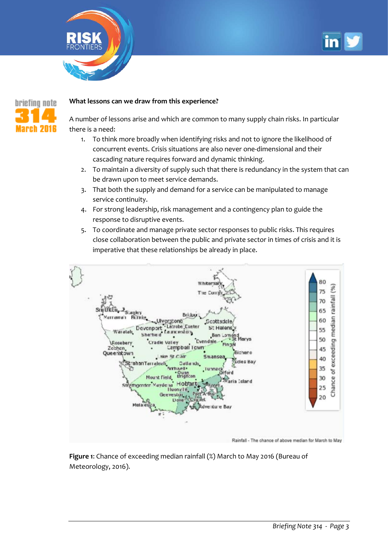





#### **What lessons can we draw from this experience?**

A number of lessons arise and which are common to many supply chain risks. In particular there is a need:

- 1. To think more broadly when identifying risks and not to ignore the likelihood of concurrent events. Crisis situations are also never one-dimensional and their cascading nature requires forward and dynamic thinking.
- 2. To maintain a diversity of supply such that there is redundancy in the system that can be drawn upon to meet service demands.
- 3. That both the supply and demand for a service can be manipulated to manage service continuity.
- 4. For strong leadership, risk management and a contingency plan to guide the response to disruptive events.
- 5. To coordinate and manage private sector responses to public risks. This requires close collaboration between the public and private sector in times of crisis and it is imperative that these relationships be already in place.



**Figure 1**: Chance of exceeding median rainfall (%) March to May 2016 [\(Bureau of](#page-3-9)  [Meteorology, 2016\)](#page-3-9).